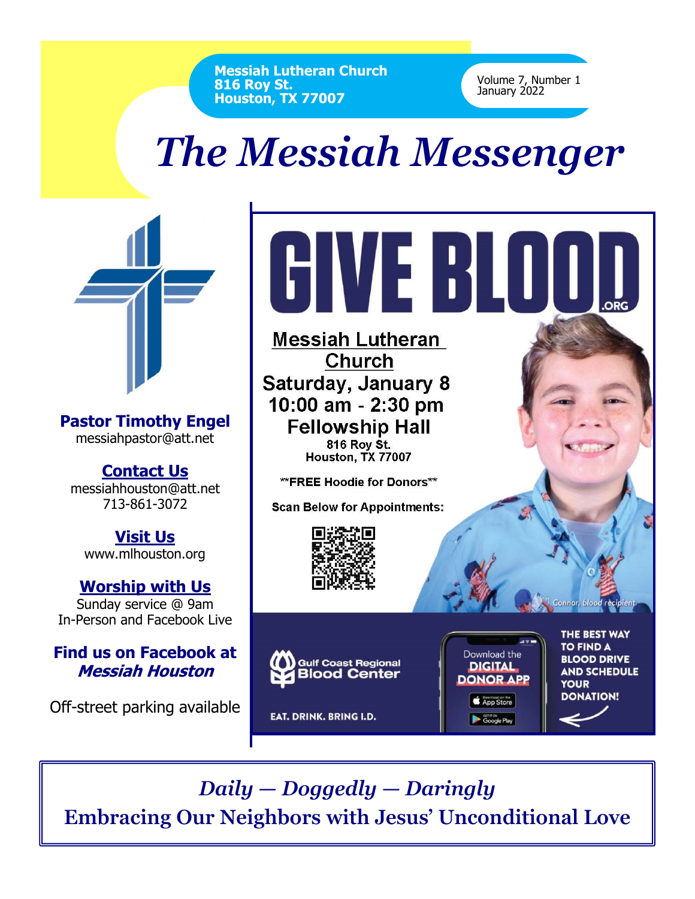**Messiah Lutheran Church 816 Roy St. Houston, TX 77007**

Volume 7, Number 1 January 2022

## *The Messiah Messenger*



**Pastor Timothy Engel** messiahpastor@att.net

**Contact Us** messiahhouston@att.net 713-861-3072

**Visit Us** www.mlhouston.org

**Worship with Us** Sunday service @ 9am In-Person and Facebook Live

## **Find us on Facebook at Messiah Houston**

Off-street parking available



*Daily — Doggedly — Daringly* **Embracing Our Neighbors with Jesus' Unconditional Love**